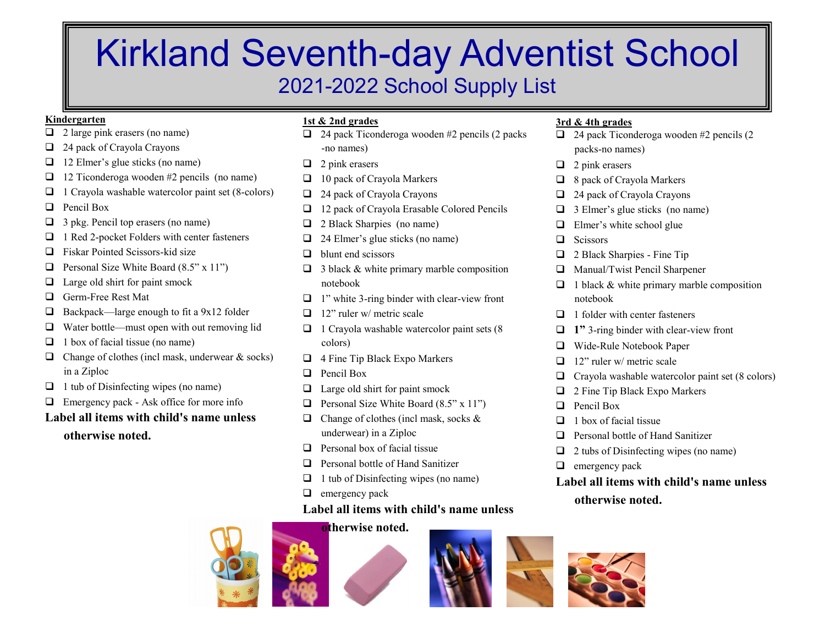# Kirkland Seventh-day Adventist School 2021-2022 School Supply List

## **Kindergarten**

- $\Box$  2 large pink erasers (no name)
- $\Box$  24 pack of Crayola Crayons
- $\Box$  12 Elmer's glue sticks (no name)
- $\Box$  12 Ticonderoga wooden #2 pencils (no name)
- $\Box$  1 Crayola washable watercolor paint set (8-colors)
- $\Box$  Pencil Box
- $\Box$  3 pkg. Pencil top erasers (no name)
- $\Box$  1 Red 2-pocket Folders with center fasteners
- $\Box$  Fiskar Pointed Scissors-kid size
- **q** Personal Size White Board  $(8.5" \times 11")$
- $\Box$  Large old shirt for paint smock
- □ Germ-Free Rest Mat
- $\Box$  Backpack—large enough to fit a 9x12 folder
- $\Box$  Water bottle—must open with out removing lid
- $\Box$  1 box of facial tissue (no name)
- $\Box$  Change of clothes (incl mask, underwear & socks) in a Ziploc
- $\Box$  1 tub of Disinfecting wipes (no name)
- $\Box$  Emergency pack Ask office for more info

# **Label all items with child's name unless**

**otherwise noted.**

# **1st & 2nd grades**

- $\Box$  24 pack Ticonderoga wooden #2 pencils (2 packs) -no names)
- $\Box$  2 pink erasers
- $\Box$  10 pack of Crayola Markers
- $\Box$  24 pack of Crayola Crayons
- $\Box$  12 pack of Crayola Erasable Colored Pencils
- $\Box$  2 Black Sharpies (no name)
- $\Box$  24 Elmer's glue sticks (no name)
- $\Box$  blunt end scissors
- $\Box$  3 black & white primary marble composition notebook
- $\Box$  1" white 3-ring binder with clear-view front
- $\Box$  12" ruler w/ metric scale
- $\Box$  1 Crayola washable watercolor paint sets (8) colors)
- $\Box$  4 Fine Tip Black Expo Markers
- $\Box$  Pencil Box
- $\Box$  Large old shirt for paint smock
- **q** Personal Size White Board  $(8.5" \times 11")$
- $\Box$  Change of clothes (incl mask, socks & underwear) in a Ziploc
- $\Box$  Personal box of facial tissue
- $\Box$  Personal bottle of Hand Sanitizer
- $\Box$  1 tub of Disinfecting wipes (no name)
- $\Box$  emergency pack

# **Label all items with child's name unless**

# **otherwise noted.**







# **3rd & 4th grades**

- $\Box$  24 pack Ticonderoga wooden #2 pencils (2 packs-no names)
- $\Box$  2 pink erasers
- $\Box$  8 pack of Crayola Markers
- $\Box$  24 pack of Crayola Crayons
- $\Box$  3 Elmer's glue sticks (no name)
- $\Box$  Elmer's white school glue
- $\Box$  Scissors
- $\Box$  2 Black Sharpies Fine Tip
- $\Box$  Manual/Twist Pencil Sharpener
- $\Box$  1 black & white primary marble composition notebook
- $\Box$  1 folder with center fasteners
- **□** 1" 3-ring binder with clear-view front
- □ Wide-Rule Notebook Paper
- $\Box$  12" ruler w/ metric scale
- $\Box$  Crayola washable watercolor paint set (8 colors)
- $\Box$  2 Fine Tip Black Expo Markers
- $\Box$  Pencil Box
- $\Box$  1 box of facial tissue
- $\Box$  Personal bottle of Hand Sanitizer
- $\Box$  2 tubs of Disinfecting wipes (no name)
- $\Box$  emergency pack
- **Label all items with child's name unless otherwise noted.**